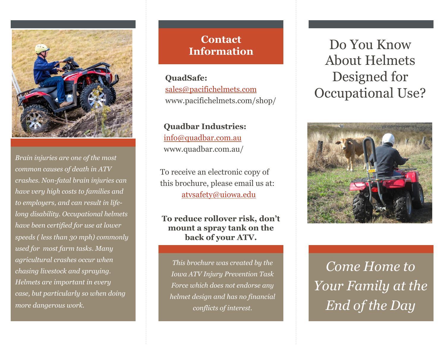

*Brain injuries are one of the most common causes of death in ATV crashes. Non-fatal brain injuries can have very high costs to families and to employers, and can result in lifelong disability. Occupational helmets have been certified for use at lower speeds ( less than 30 mph) commonly used for most farm tasks. Many agricultural crashes occur when chasing livestock and spraying. Helmets are important in every case, but particularly so when doing more dangerous work.* 

## **Contact Information**

**QuadSafe:**  sales@pacifichelmets.com www.pacifichelmets.com/shop/

**Quadbar Industries:**  info@quadbar.com.au www.quadbar.com.au/

To receive an electronic copy of this brochure, please email us at: atvsafety@uiowa.edu

**To reduce rollover risk, don't mount a spray tank on the back of your ATV.** 

*This brochure was created by the Iowa ATV Injury Prevention Task Force which does not endorse any helmet design and has no financial conflicts of interest.* 

Do You Know About Helmets Designed for Occupational Use?



*Come Home to Your Family at the End of the Day*